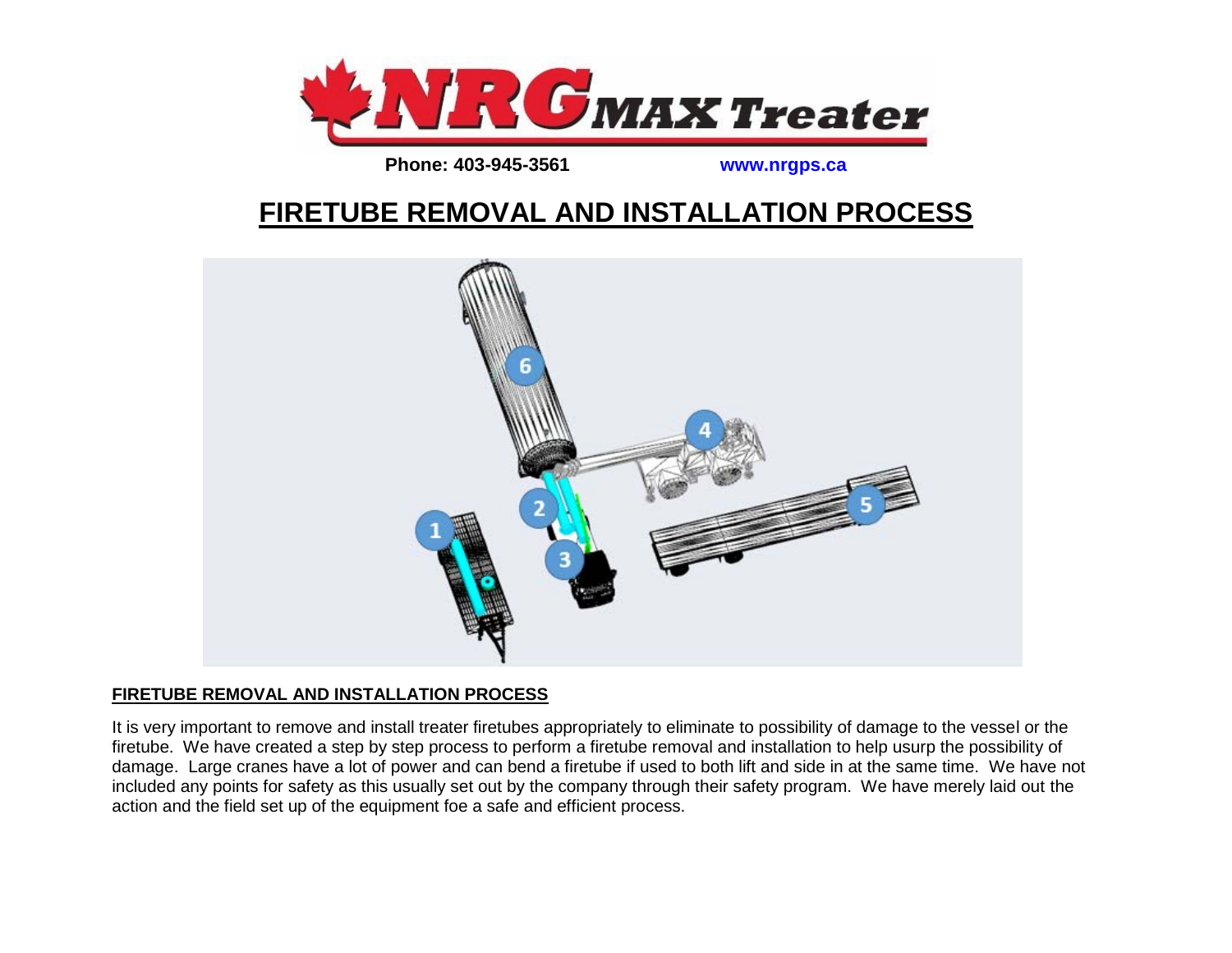

**Phone: 403-945-3561 www.nrgps.ca** 

## **FIRETUBE REMOVAL AND INSTALLATION PROCESS**



## **FIRETUBE REMOVAL AND INSTALLATION PROCESS**

It is very important to remove and install treater firetubes appropriately to eliminate to possibility of damage to the vessel or the firetube. We have created a step by step process to perform a firetube removal and installation to help usurp the possibility of damage. Large cranes have a lot of power and can bend a firetube if used to both lift and side in at the same time. We have not included any points for safety as this usually set out by the company through their safety program. We have merely laid out the action and the field set up of the equipment foe a safe and efficient process.